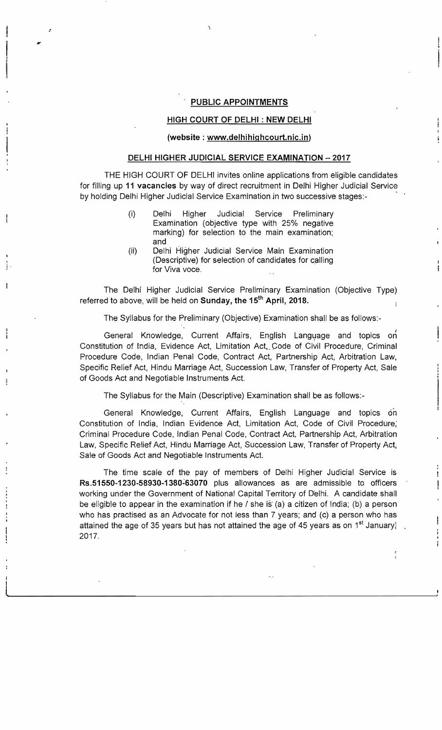## **PUBLIC APPOINTMENTS**

I

I

 $\label{eq:2.1} \frac{1}{2} \int_{\mathbb{R}^3} \frac{1}{\sqrt{2}} \int_{\mathbb{R}^3} \frac{1}{\sqrt{2}} \int_{\mathbb{R}^3} \frac{1}{\sqrt{2}} \int_{\mathbb{R}^3} \frac{1}{\sqrt{2}} \int_{\mathbb{R}^3} \frac{1}{\sqrt{2}} \int_{\mathbb{R}^3} \frac{1}{\sqrt{2}} \int_{\mathbb{R}^3} \frac{1}{\sqrt{2}} \int_{\mathbb{R}^3} \frac{1}{\sqrt{2}} \int_{\mathbb{R}^3} \frac{1}{\sqrt{2}} \int_{\mathbb$ 

 $\ddot{\cdot}$  . ~ •

 $\overline{\phantom{a}}$ 1

## **HIGH COURT OF DELHI: NEW DELHI**

## **(website: www.delhihighcourt.nic.in)**

## **DELHI HIGHER JUDICIAL SERVICE EXAMINATION - 2017**

THE HIGH COURT OF DELHI invites online applications from eligible candidates for filling up **11 vacancies** by way of direct recruitment in Delhi Higher Judicial Service by holding Delhi Higher Judicial Service Examination jn two successive stages:-

- (i) Delhi Higher Judicial Service Preliminary Examination (objective type with 25% negative marking) for selection to the main examination; and
- (ii) Delhi Higher Judicial Service Main Examination (Descriptive) for selection of candidates for calling for Viva voce.

The Delhi Higher Judicial Service Preliminary Examination (Objective Type) referred to above, will be held on **Sunday, the 15<sup>th</sup> April, 2018.** 

The Syllabus for the Preliminary (Objective) Examination shall be as follows:

General Knowledge, Current Affairs, English Language and topics on Constitution of India, Evidence Act, Limitation Act,. Code of Civil Procedure, Criminal Procedure Code, Indian Penal Code, Contract Act, Partnership Act, Arbitration Law, Specific Relief Act, Hindu Marriage Act, Succession Law, Transfer of Property Act, Sale of Goods Act and Negotiable Instruments Act.

The Syllabus for the Main (Descriptive) Examination shall be as follows:

General Knowledge, Current Affairs, English Language and topics on Constitution of India, Indian Evidence Act, Limitation Act, Code of Civil Procedure; Criminal Procedure Code, Indian Penal Code, Contract Act, Partnership Act, Arbitration Law, Specific Relief Act, Hindu Marriage Act, Succession Law, Transfer of Property Act, Sale of Goods Act and Negotiable Instruments Act.

The time scale of the pay of members of Delhi Higher Judicial Service is Rs.51550-1230-58930-1380~63070 plus allowances as are admissible to officers working under the Government of National Capital Territory of Delhi. A candidate shall be eligible to appear in the examination if he / she is (a) a citizen of India; (b) a person who has practised as an Advocate for not less than 7 years; and (c) a person who has attained the age of 35 years but has not attained the age of 45 years as on  $1^{st}$  January; 2017.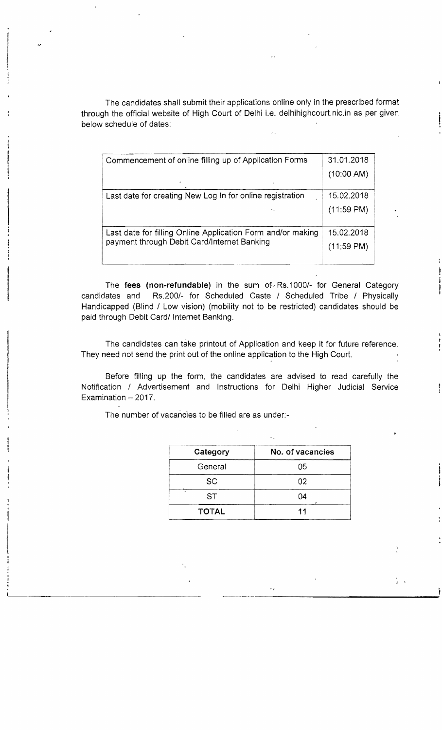The candidates shall submit their applications online only in the prescribed format through the official website of High Court of Delhi i.e. delhihighcourt.nic.in as per given below schedule of dates:

| Commencement of online filling up of Application Forms      | 31.01.2018           |
|-------------------------------------------------------------|----------------------|
| $\Delta$                                                    | (10:00 AM)           |
| Last date for creating New Log In for online registration   | 15.02.2018           |
| ٠.                                                          | $(11:59 \text{ PM})$ |
| Last date for filling Online Application Form and/or making | 15.02.2018           |
| payment through Debit Card/Internet Banking                 | $(11:59 \text{ PM})$ |

The fees (non-refundable) in the sum of Rs.1000/- for General Category candidates and Rs.200/- for Scheduled Caste / Scheduled Tribe / Physically Handicapped (Blind / Low vision) (mobility not to be restricted) candidates should be paid through Debit Card/ Internet Banking.

The candidates can take printout of Application and keep it for future reference. They need not send the print out of the online application to the High Court.

Before filling up the form, the candidates are advised to read carefully the Notification / Advertisement and Instructions for Delhi Higher Judicial Service Examination  $-2017$ .

| Category     | No. of vacancies |
|--------------|------------------|
| General      | 05               |
| <b>SC</b>    | 02               |
| <b>ST</b>    | 04               |
| <b>TOTAL</b> | 11               |

----------------------------------------

The number of vacancies to be filled are as under:

~--~-..... -.~.~~~......-------